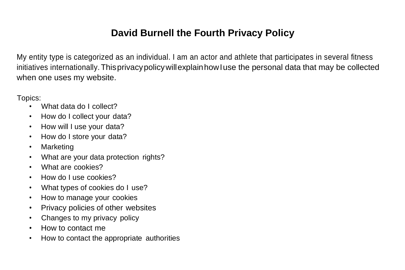# **David Burnell the Fourth Privacy Policy**

My entity type is categorized as an individual. I am an actor and athlete that participates in several fitness initiatives internationally. ThisprivacypolicywillexplainhowIuse the personal data that may be collected when one uses my website.

Topics:

- What data do I collect?
- How do I collect your data?
- How will I use your data?
- How do I store your data?
- Marketing
- What are your data protection rights?
- What are cookies?
- How do I use cookies?
- What types of cookies do I use?
- How to manage your cookies
- Privacy policies of other websites
- Changes to my privacy policy
- How to contact me
- How to contact the appropriate authorities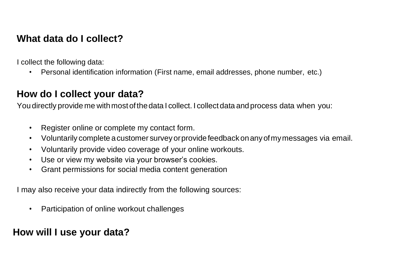### **What data do I collect?**

I collect the following data:

• Personal identification information (First name, email addresses, phone number, etc.)

## **How do I collect your data?**

You directly provide me with most of the data I collect. I collect data and process data when you:

- Register online or complete my contact form.
- Voluntarily complete acustomer surveyorprovide feedbackonanyofmymessages via email.
- Voluntarily provide video coverage of your online workouts.
- Use or view my website via your browser's cookies.
- Grant permissions for social media content generation

I may also receive your data indirectly from the following sources:

• Participation of online workout challenges

# **How will I use your data?**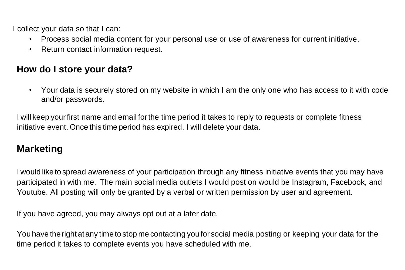I collect your data so that I can:

- Process social media content for your personal use or use of awareness for current initiative.
- Return contact information request.

### **How do I store your data?**

• Your data is securely stored on my website in which I am the only one who has access to it with code and/or passwords.

I will keep yourfirst name and email forthe time period it takes to reply to requests or complete fitness initiative event. Once this time period has expired, I will delete your data.

### **Marketing**

I would like to spread awareness of your participation through any fitness initiative events that you may have participated in with me. The main social media outlets I would post on would be Instagram, Facebook, and Youtube. All posting will only be granted by a verbal or written permission by user and agreement.

If you have agreed, you may always opt out at a later date.

You have the right at any time to stop me contacting you for social media posting or keeping your data for the time period it takes to complete events you have scheduled with me.